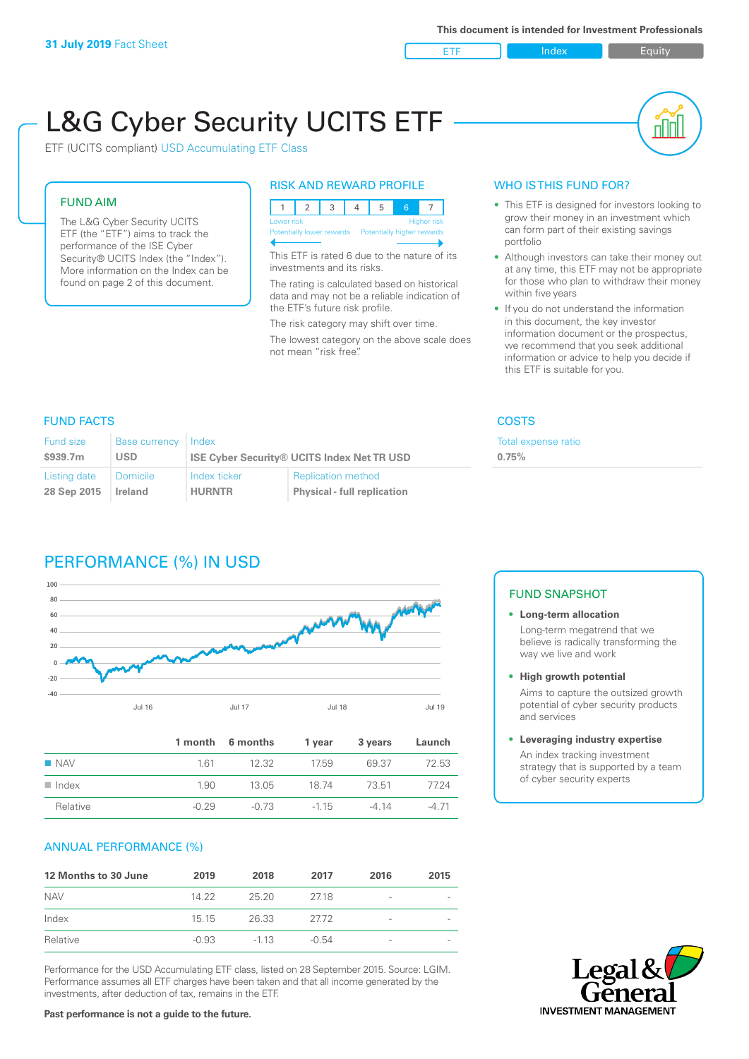ETF Index Buity

nl M

# L&G Cyber Security UCITS ETF

ETF (UCITS compliant) USD Accumulating ETF Class

#### FUND AIM

The L&G Cyber Security UCITS ETF (the "ETF") aims to track the performance of the ISE Cyber Security® UCITS Index (the "Index"). More information on the Index can be found on page 2 of this document.

#### RISK AND REWARD PROFILE

| Lower risk<br><b>Higher risk</b> |  |  |  |  |                                                      |  |  |  |  |
|----------------------------------|--|--|--|--|------------------------------------------------------|--|--|--|--|
|                                  |  |  |  |  | Potentially lower rewards Potentially higher rewards |  |  |  |  |
|                                  |  |  |  |  |                                                      |  |  |  |  |

This ETF is rated 6 due to the nature of its investments and its risks.

The rating is calculated based on historical data and may not be a reliable indication of the ETF's future risk profile.

The risk category may shift over time. The lowest category on the above scale does not mean "risk free".

#### WHO IS THIS FUND FOR?

- This ETF is designed for investors looking to grow their money in an investment which can form part of their existing savings portfolio
- Although investors can take their money out at any time, this ETF may not be appropriate for those who plan to withdraw their money within five years
- If you do not understand the information in this document, the key investor information document or the prospectus, we recommend that you seek additional information or advice to help you decide if this ETF is suitable for you.

**0.75%**

Total expense ratio

## FUND FACTS COSTS

| Fund size<br><b>Base currency</b> |          | Index                                             |                                    |  |  |
|-----------------------------------|----------|---------------------------------------------------|------------------------------------|--|--|
| \$939.7m<br><b>USD</b>            |          | <b>ISE Cyber Security® UCITS Index Net TR USD</b> |                                    |  |  |
| Listing date                      | Domicile | Index ticker                                      | <b>Replication method</b>          |  |  |
| 28 Sep 2015                       | Ireland  | <b>HURNTR</b>                                     | <b>Physical - full replication</b> |  |  |

# PERFORMANCE (%) IN USD



|                      |         | 1 month 6 months | 1 year  | 3 years | Launch   |
|----------------------|---------|------------------|---------|---------|----------|
| $\blacksquare$ NAV   | 161     | 12.32            | 1759    | 69.37   | 72.53    |
| $\blacksquare$ Index | 1.90    | 13.05            | - 18 74 | 73.51   | 7724     |
| Relative             | $-0.29$ | -0.73            | $-115$  | -4 14   | $-4\,71$ |

#### ANNUAL PERFORMANCE (%)

| 12 Months to 30 June | 2019    | 2018   | 2017    | 2016                     | 2015 |
|----------------------|---------|--------|---------|--------------------------|------|
| <b>NAV</b>           | 14.22   | 25.20  | 2718    | $\qquad \qquad$          |      |
| Index                | 15, 15  | 26.33  | 27.72   | $\qquad \qquad$          |      |
| Relative             | $-0.93$ | $-113$ | $-0.54$ | $\overline{\phantom{a}}$ |      |

Performance for the USD Accumulating ETF class, listed on 28 September 2015. Source: LGIM. Performance assumes all ETF charges have been taken and that all income generated by the investments, after deduction of tax, remains in the ETF.

### FUND SNAPSHOT

**• Long-term allocation** Long-term megatrend that we believe is radically transforming the way we live and work

**• High growth potential**

Aims to capture the outsized growth potential of cyber security products and services

#### **• Leveraging industry expertise**

An index tracking investment strategy that is supported by a team of cyber security experts



**Past performance is not a guide to the future.**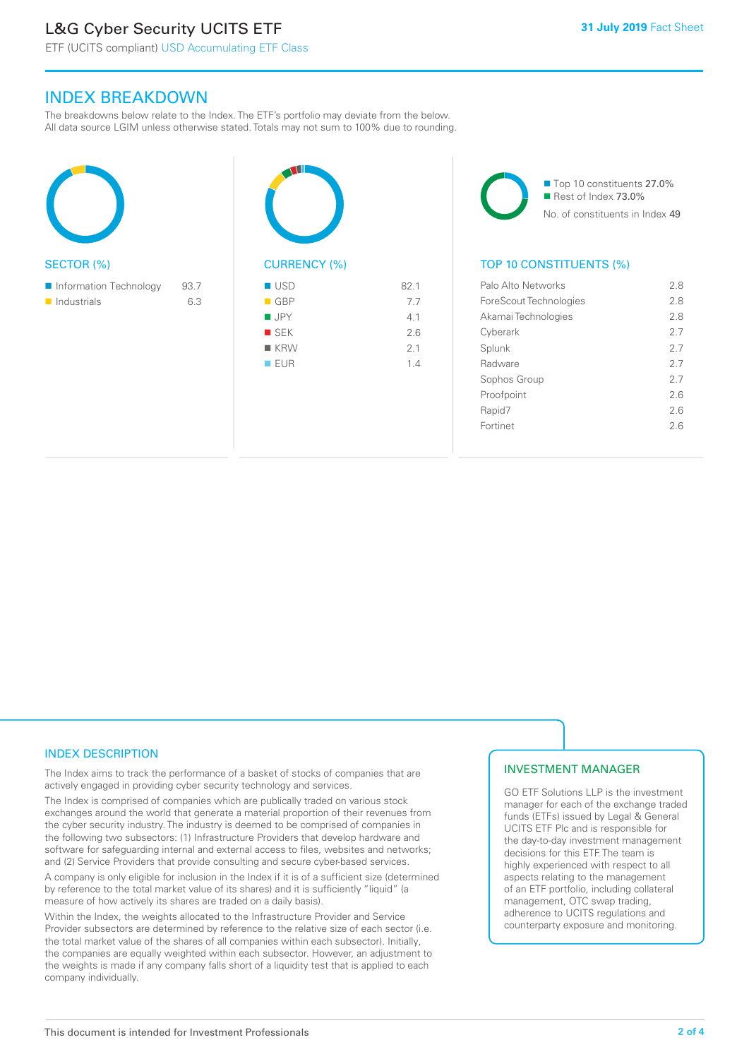# L&G Cyber Security UCITS ETF

# INDEX BREAKDOWN

The breakdowns below relate to the Index. The ETF's portfolio may deviate from the below. All data source LGIM unless otherwise stated. Totals may not sum to 100% due to rounding.

| <b>SECTOR (%)</b>                                    |             | <b>CURREN</b>                                                                             |
|------------------------------------------------------|-------------|-------------------------------------------------------------------------------------------|
| Information Technology<br>$\blacksquare$ Industrials | 93.7<br>6.3 | <b>USD</b><br>$\blacksquare$ GBP<br><b>JPY</b><br>$\blacksquare$ SEK<br>■ KRW<br>EUR<br>п |



■ Top 10 constituents 27.0% Rest of Index 73.0% No. of constituents in Index 49

#### TOP 10 CONSTITUENTS (%)

| Palo Alto Networks     | 2.8 |
|------------------------|-----|
| ForeScout Technologies | 2.8 |
| Akamai Technologies    | 28  |
| Cyberark               | 2.7 |
| Splunk                 | 27  |
| Radware                | 27  |
| Sophos Group           | 27  |
| Proofpoint             | 2.6 |
| Rapid7                 | 26  |
| Fortinet               | 2.6 |
|                        |     |

#### INDEX DESCRIPTION

The Index aims to track the performance of a basket of stocks of companies that are actively engaged in providing cyber security technology and services.

The Index is comprised of companies which are publically traded on various stock exchanges around the world that generate a material proportion of their revenues from the cyber security industry. The industry is deemed to be comprised of companies in the following two subsectors: (1) Infrastructure Providers that develop hardware and software for safeguarding internal and external access to files, websites and networks; and (2) Service Providers that provide consulting and secure cyber-based services.

A company is only eligible for inclusion in the Index if it is of a sufficient size (determined by reference to the total market value of its shares) and it is sufficiently "liquid" (a measure of how actively its shares are traded on a daily basis).

Within the Index, the weights allocated to the Infrastructure Provider and Service Provider subsectors are determined by reference to the relative size of each sector (i.e. the total market value of the shares of all companies within each subsector). Initially, the companies are equally weighted within each subsector. However, an adjustment to the weights is made if any company falls short of a liquidity test that is applied to each company individually.

#### INVESTMENT MANAGER

GO ETF Solutions LLP is the investment manager for each of the exchange traded funds (ETFs) issued by Legal & General UCITS ETF Plc and is responsible for the day-to-day investment management decisions for this ETF. The team is highly experienced with respect to all aspects relating to the management of an ETF portfolio, including collateral management, OTC swap trading, adherence to UCITS regulations and counterparty exposure and monitoring.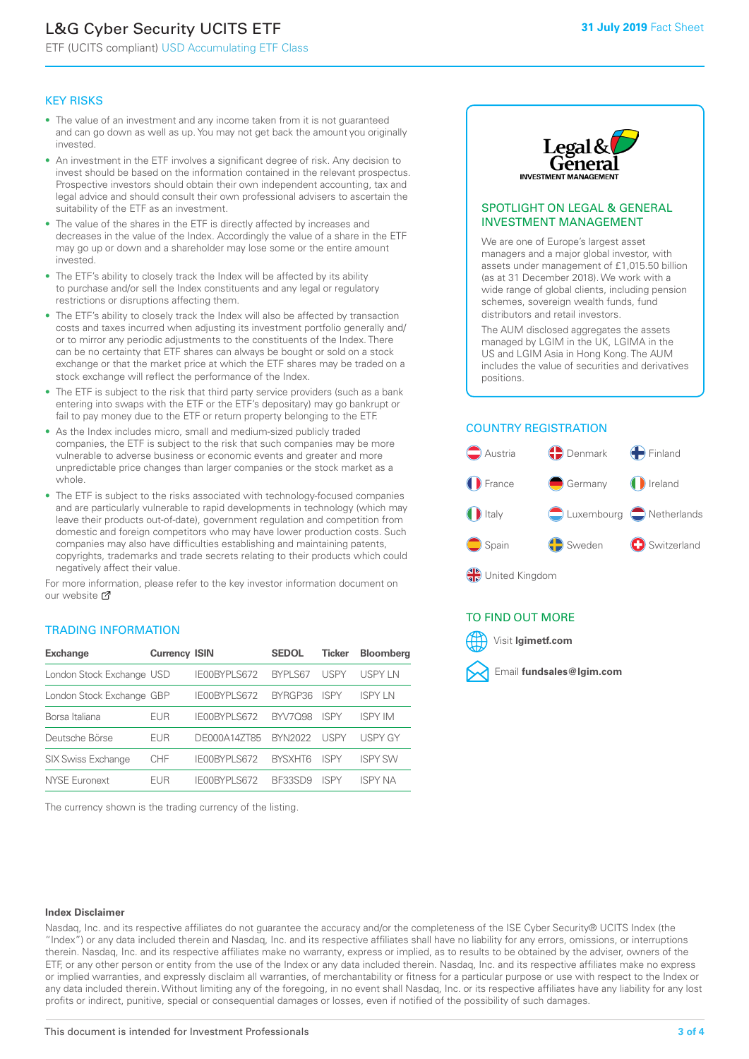# L&G Cyber Security UCITS ETF

ETF (UCITS compliant) USD Accumulating ETF Class

#### KEY RISKS

- The value of an investment and any income taken from it is not guaranteed and can go down as well as up. You may not get back the amount you originally invested.
- An investment in the ETF involves a significant degree of risk. Any decision to invest should be based on the information contained in the relevant prospectus. Prospective investors should obtain their own independent accounting, tax and legal advice and should consult their own professional advisers to ascertain the suitability of the ETF as an investment.
- The value of the shares in the ETF is directly affected by increases and decreases in the value of the Index. Accordingly the value of a share in the ETF may go up or down and a shareholder may lose some or the entire amount invested.
- The ETF's ability to closely track the Index will be affected by its ability to purchase and/or sell the Index constituents and any legal or regulatory restrictions or disruptions affecting them.
- The ETF's ability to closely track the Index will also be affected by transaction costs and taxes incurred when adjusting its investment portfolio generally and/ or to mirror any periodic adjustments to the constituents of the Index. There can be no certainty that ETF shares can always be bought or sold on a stock exchange or that the market price at which the ETF shares may be traded on a stock exchange will reflect the performance of the Index.
- The ETF is subject to the risk that third party service providers (such as a bank entering into swaps with the ETF or the ETF's depositary) may go bankrupt or fail to pay money due to the ETF or return property belonging to the ETF.
- As the Index includes micro, small and medium-sized publicly traded companies, the ETF is subject to the risk that such companies may be more vulnerable to adverse business or economic events and greater and more unpredictable price changes than larger companies or the stock market as a whole.
- The ETF is subject to the risks associated with technology-focused companies and are particularly vulnerable to rapid developments in technology (which may leave their products out-of-date), government regulation and competition from domestic and foreign competitors who may have lower production costs. Such companies may also have difficulties establishing and maintaining patents, copyrights, trademarks and trade secrets relating to their products which could negatively affect their value.

For more information, please refer to the key investor information document on our website Ø

#### TRADING INFORMATION

| <b>Exchange</b>           | <b>Currency ISIN</b> |              | <b>SEDOL</b>   | <b>Ticker</b> | <b>Bloomberg</b> |
|---------------------------|----------------------|--------------|----------------|---------------|------------------|
| London Stock Exchange USD |                      | IE00BYPLS672 | <b>BYPLS67</b> | <b>USPY</b>   | USPY IN          |
| London Stock Exchange GBP |                      | IE00BYPLS672 | BYRGP36        | <b>ISPY</b>   | ISPY I N         |
| Borsa Italiana            | <b>EUR</b>           | IE00BYPLS672 | <b>BYV7098</b> | <b>ISPY</b>   | <b>ISPY IM</b>   |
| Deutsche Börse            | EUR                  | DE000A14ZT85 | <b>BYN2022</b> | USPY          | <b>USPY GY</b>   |
| <b>SIX Swiss Exchange</b> | CHF                  | IE00BYPLS672 | <b>RYSXHT6</b> | <b>ISPY</b>   | <b>ISPY SW</b>   |
| <b>NYSE Euronext</b>      | FUR                  | IF00BYPLS672 | <b>BE33SD9</b> | ISPY          | <b>ISPY NA</b>   |

The currency shown is the trading currency of the listing.



#### SPOTLIGHT ON LEGAL & GENERAL INVESTMENT MANAGEMENT

We are one of Europe's largest asset managers and a major global investor, with assets under management of £1,015.50 billion (as at 31 December 2018). We work with a wide range of global clients, including pension schemes, sovereign wealth funds, fund distributors and retail investors.

The AUM disclosed aggregates the assets managed by LGIM in the UK, LGIMA in the US and LGIM Asia in Hong Kong. The AUM includes the value of securities and derivatives positions.

#### COUNTRY REGISTRATION



#### TO FIND OUT MORE



#### **Index Disclaimer**

Nasdaq, Inc. and its respective affiliates do not guarantee the accuracy and/or the completeness of the ISE Cyber Security® UCITS Index (the "Index") or any data included therein and Nasdaq, Inc. and its respective affiliates shall have no liability for any errors, omissions, or interruptions therein. Nasdaq, Inc. and its respective affiliates make no warranty, express or implied, as to results to be obtained by the adviser, owners of the ETF, or any other person or entity from the use of the Index or any data included therein. Nasdaq, Inc. and its respective affiliates make no express or implied warranties, and expressly disclaim all warranties, of merchantability or fitness for a particular purpose or use with respect to the Index or any data included therein. Without limiting any of the foregoing, in no event shall Nasdaq, Inc. or its respective affiliates have any liability for any lost profits or indirect, punitive, special or consequential damages or losses, even if notified of the possibility of such damages.